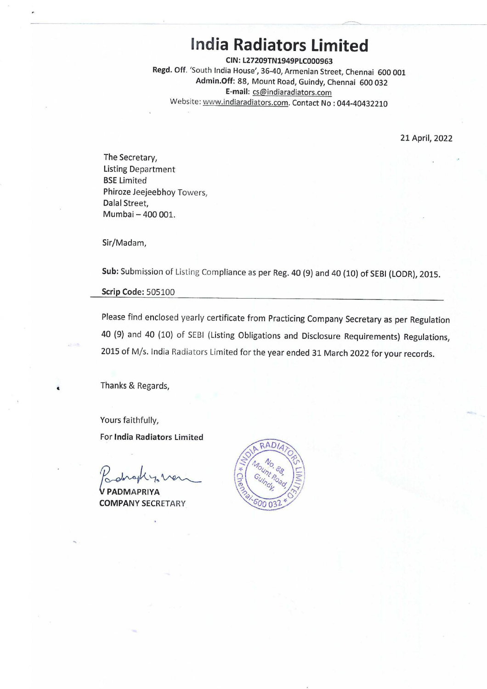# **India Radiators Limited**

**CIN:L27209TN1949PLC000963**  Regd. Off. 'South India House', 36-40, Armenian Street, Chennai 600 001 **Admin.Off:** 88, Mount Road, Guindy, Chennai 600 032 **E-mail:** cs@indiaradiators.com Website: www.indiaradiators.com. Contact No : 044-40432210

21 April, 2022

The Secretary, Listing Department BSE Limited Phiroze Jeejeebhoy Towers, Dalal Street, Mumbai- 400 001.

Sir/Madam,

**Sub:** Submission of Listing Compliance as per Reg. 40 (9) and 40 (10) of SEBI (LODR), 2015.

**Scrip Code:** 505100

Please find enclosed yearly certificate from Practicing Company Secretary as per Regulation 40 (9) and 40 (10) of SEBI (Listing Obligations and Disclosure Requirements) Regulations, 2015 of M/s. India Radiators Limited for the year ended 31 March 2022 for your records.

Thanks & Regards,

Yours faithfully, For **India Radiators** Limited

Podrophy. ven

**COMPANY** SECRETARY